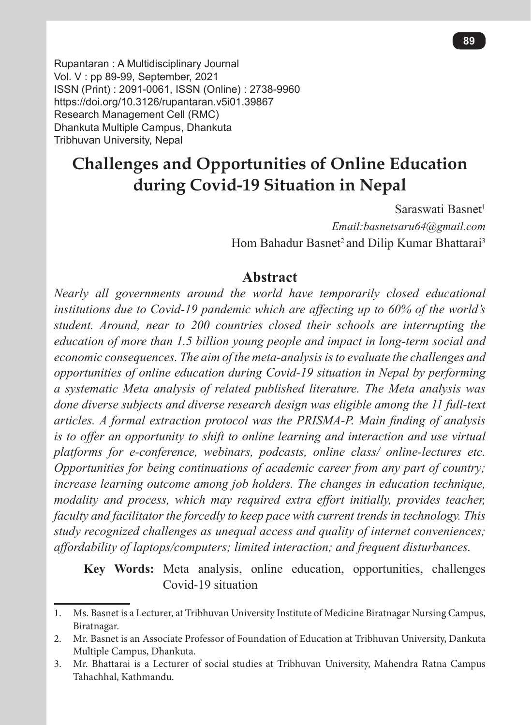Rupantaran : A Multidisciplinary Journal Vol. V : pp 89-99, September, 2021 ISSN (Print) : 2091-0061, ISSN (Online) : 2738-9960 https://doi.org/10.3126/rupantaran.v5i01.39867 Research Management Cell (RMC) Dhankuta Multiple Campus, Dhankuta Tribhuvan University, Nepal

# **Challenges and Opportunities of Online Education during Covid-19 Situation in Nepal**

Saraswati Basnet $1$ *Email:basnetsaru64@gmail.com* Hom Bahadur Basnet<sup>2</sup> and Dilip Kumar Bhattarai<sup>3</sup>

### **Abstract**

*Nearly all governments around the world have temporarily closed educational institutions due to Covid-19 pandemic which are affecting up to 60% of the world's student. Around, near to 200 countries closed their schools are interrupting the education of more than 1.5 billion young people and impact in long-term social and economic consequences. The aim of the meta-analysis is to evaluate the challenges and opportunities of online education during Covid-19 situation in Nepal by performing a systematic Meta analysis of related published literature. The Meta analysis was done diverse subjects and diverse research design was eligible among the 11 full-text articles. A formal extraction protocol was the PRISMA-P. Main finding of analysis is to offer an opportunity to shift to online learning and interaction and use virtual platforms for e-conference, webinars, podcasts, online class/ online-lectures etc. Opportunities for being continuations of academic career from any part of country; increase learning outcome among job holders. The changes in education technique, modality and process, which may required extra effort initially, provides teacher, faculty and facilitator the forcedly to keep pace with current trends in technology. This study recognized challenges as unequal access and quality of internet conveniences; affordability of laptops/computers; limited interaction; and frequent disturbances.*

**Key Words:** Meta analysis, online education, opportunities, challenges Covid-19 situation

<sup>1.</sup> Ms. Basnet is a Lecturer, at Tribhuvan University Institute of Medicine Biratnagar Nursing Campus, Biratnagar.

<sup>2.</sup> Mr. Basnet is an Associate Professor of Foundation of Education at Tribhuvan University, Dankuta Multiple Campus, Dhankuta.

<sup>3.</sup> Mr. Bhattarai is a Lecturer of social studies at Tribhuvan University, Mahendra Ratna Campus Tahachhal, Kathmandu.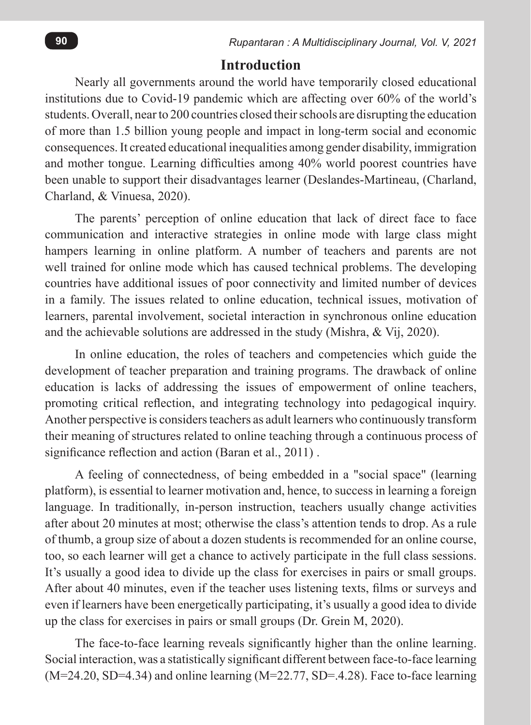### **Introduction**

Nearly all governments around the world have temporarily closed educational institutions due to Covid-19 pandemic which are affecting over 60% of the world's students. Overall, near to 200 countries closed their schools are disrupting the education of more than 1.5 billion young people and impact in long-term social and economic consequences. It created educational inequalities among gender disability, immigration and mother tongue. Learning difficulties among 40% world poorest countries have been unable to support their disadvantages learner (Deslandes-Martineau, (Charland, Charland, & Vinuesa, 2020).

The parents' perception of online education that lack of direct face to face communication and interactive strategies in online mode with large class might hampers learning in online platform. A number of teachers and parents are not well trained for online mode which has caused technical problems. The developing countries have additional issues of poor connectivity and limited number of devices in a family. The issues related to online education, technical issues, motivation of learners, parental involvement, societal interaction in synchronous online education and the achievable solutions are addressed in the study (Mishra, & Vij, 2020).

In online education, the roles of teachers and competencies which guide the development of teacher preparation and training programs. The drawback of online education is lacks of addressing the issues of empowerment of online teachers, promoting critical reflection, and integrating technology into pedagogical inquiry. Another perspective is considers teachers as adult learners who continuously transform their meaning of structures related to online teaching through a continuous process of significance reflection and action (Baran et al., 2011) .

A feeling of connectedness, of being embedded in a "social space" (learning platform), is essential to learner motivation and, hence, to success in learning a foreign language. In traditionally, in-person instruction, teachers usually change activities after about 20 minutes at most; otherwise the class's attention tends to drop. As a rule of thumb, a group size of about a dozen students is recommended for an online course, too, so each learner will get a chance to actively participate in the full class sessions. It's usually a good idea to divide up the class for exercises in pairs or small groups. After about 40 minutes, even if the teacher uses listening texts, films or surveys and even if learners have been energetically participating, it's usually a good idea to divide up the class for exercises in pairs or small groups (Dr. Grein M, 2020).

The face-to-face learning reveals significantly higher than the online learning. Social interaction, was a statistically significant different between face-to-face learning  $(M=24.20, SD=4.34)$  and online learning  $(M=22.77, SD=4.28)$ . Face to-face learning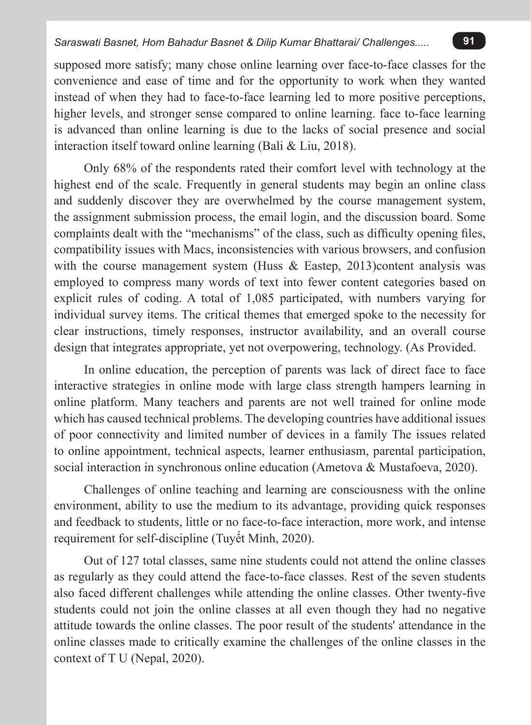supposed more satisfy; many chose online learning over face-to-face classes for the convenience and ease of time and for the opportunity to work when they wanted instead of when they had to face-to-face learning led to more positive perceptions, higher levels, and stronger sense compared to online learning. face to-face learning is advanced than online learning is due to the lacks of social presence and social interaction itself toward online learning (Bali & Liu, 2018).

Only 68% of the respondents rated their comfort level with technology at the highest end of the scale. Frequently in general students may begin an online class and suddenly discover they are overwhelmed by the course management system, the assignment submission process, the email login, and the discussion board. Some complaints dealt with the "mechanisms" of the class, such as difficulty opening files, compatibility issues with Macs, inconsistencies with various browsers, and confusion with the course management system (Huss  $\&$  Eastep, 2013)content analysis was employed to compress many words of text into fewer content categories based on explicit rules of coding. A total of 1,085 participated, with numbers varying for individual survey items. The critical themes that emerged spoke to the necessity for clear instructions, timely responses, instructor availability, and an overall course design that integrates appropriate, yet not overpowering, technology. (As Provided.

In online education, the perception of parents was lack of direct face to face interactive strategies in online mode with large class strength hampers learning in online platform. Many teachers and parents are not well trained for online mode which has caused technical problems. The developing countries have additional issues of poor connectivity and limited number of devices in a family The issues related to online appointment, technical aspects, learner enthusiasm, parental participation, social interaction in synchronous online education (Ametova & Mustafoeva, 2020).

Challenges of online teaching and learning are consciousness with the online environment, ability to use the medium to its advantage, providing quick responses and feedback to students, little or no face-to-face interaction, more work, and intense requirement for self-discipline (Tuyết Minh, 2020).

Out of 127 total classes, same nine students could not attend the online classes as regularly as they could attend the face-to-face classes. Rest of the seven students also faced different challenges while attending the online classes. Other twenty-five students could not join the online classes at all even though they had no negative attitude towards the online classes. The poor result of the students' attendance in the online classes made to critically examine the challenges of the online classes in the context of T U (Nepal, 2020).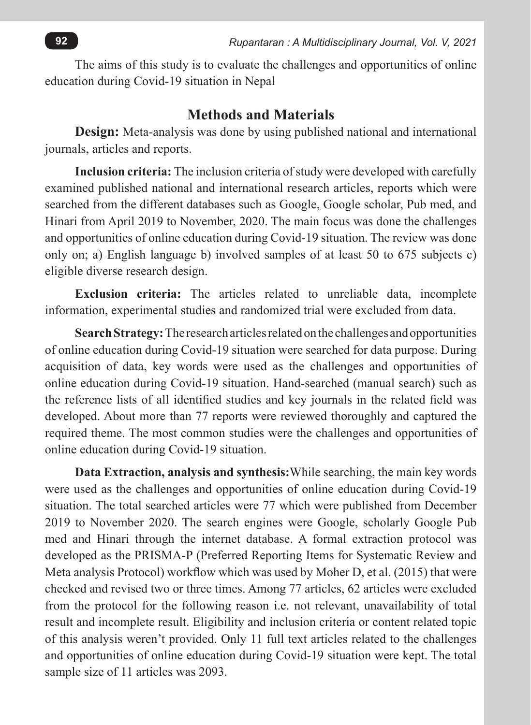The aims of this study is to evaluate the challenges and opportunities of online education during Covid-19 situation in Nepal

### **Methods and Materials**

**Design:** Meta-analysis was done by using published national and international journals, articles and reports.

**Inclusion criteria:** The inclusion criteria of study were developed with carefully examined published national and international research articles, reports which were searched from the different databases such as Google, Google scholar, Pub med, and Hinari from April 2019 to November, 2020. The main focus was done the challenges and opportunities of online education during Covid-19 situation. The review was done only on; a) English language b) involved samples of at least 50 to 675 subjects c) eligible diverse research design.

**Exclusion criteria:** The articles related to unreliable data, incomplete information, experimental studies and randomized trial were excluded from data.

**Search Strategy:** The research articles related on the challenges and opportunities of online education during Covid-19 situation were searched for data purpose. During acquisition of data, key words were used as the challenges and opportunities of online education during Covid-19 situation. Hand-searched (manual search) such as the reference lists of all identified studies and key journals in the related field was developed. About more than 77 reports were reviewed thoroughly and captured the required theme. The most common studies were the challenges and opportunities of online education during Covid-19 situation.

**Data Extraction, analysis and synthesis:**While searching, the main key words were used as the challenges and opportunities of online education during Covid-19 situation. The total searched articles were 77 which were published from December 2019 to November 2020. The search engines were Google, scholarly Google Pub med and Hinari through the internet database. A formal extraction protocol was developed as the PRISMA-P (Preferred Reporting Items for Systematic Review and Meta analysis Protocol) workflow which was used by Moher D, et al. (2015) that were checked and revised two or three times. Among 77 articles, 62 articles were excluded from the protocol for the following reason i.e. not relevant, unavailability of total result and incomplete result. Eligibility and inclusion criteria or content related topic of this analysis weren't provided. Only 11 full text articles related to the challenges and opportunities of online education during Covid-19 situation were kept. The total sample size of 11 articles was 2093.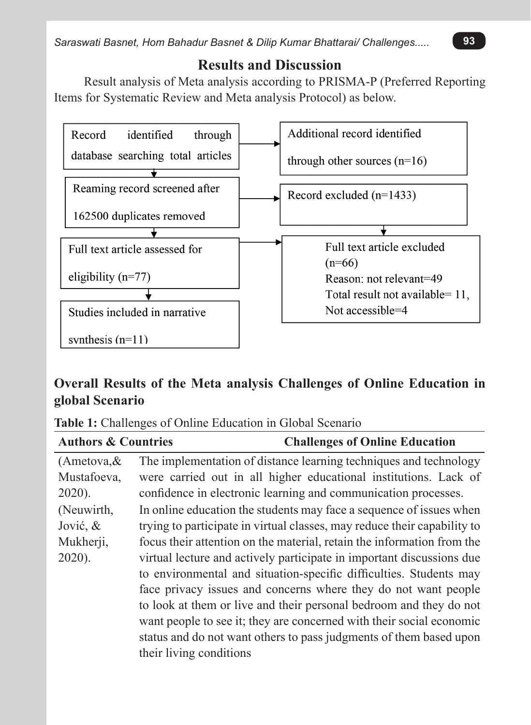## **Results and Discussion**

Result analysis of Meta analysis according to PRISMA-P (Preferred Reporting Items for Systematic Review and Meta analysis Protocol) as below.



## **Overall Results of the Meta analysis Challenges of Online Education in global Scenario**

| Table 1: Challenges of Online Education in Global Scenario |  |
|------------------------------------------------------------|--|
|------------------------------------------------------------|--|

| <b>Authors &amp; Countries</b> | <b>Challenges of Online Education</b>                                    |
|--------------------------------|--------------------------------------------------------------------------|
| $(A$ metova, &                 | The implementation of distance learning techniques and technology        |
| Mustafoeva,                    | were carried out in all higher educational institutions. Lack of         |
| $2020$ ).                      | confidence in electronic learning and communication processes.           |
| (Neuwirth,                     | In online education the students may face a sequence of issues when      |
| Jović, &                       | trying to participate in virtual classes, may reduce their capability to |
| Mukherji,                      | focus their attention on the material, retain the information from the   |
| $2020$ ).                      | virtual lecture and actively participate in important discussions due    |
|                                | to environmental and situation-specific difficulties. Students may       |
|                                | face privacy issues and concerns where they do not want people           |
|                                | to look at them or live and their personal bedroom and they do not       |
|                                | want people to see it; they are concerned with their social economic     |
|                                | status and do not want others to pass judgments of them based upon       |
|                                | their living conditions                                                  |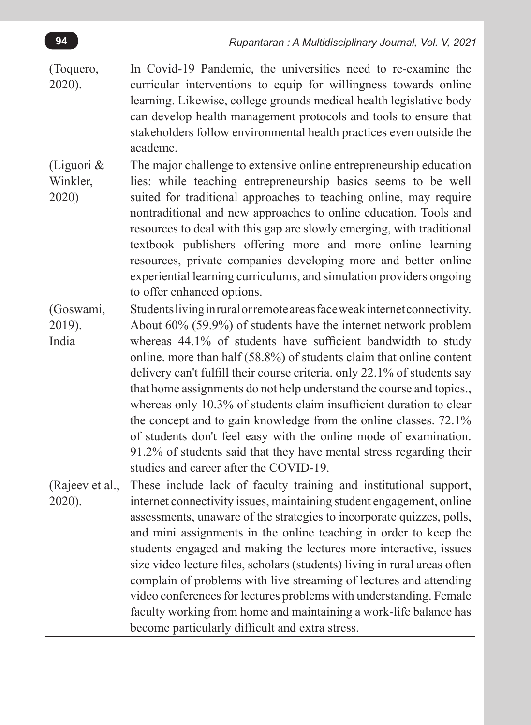- (Toquero, 2020). In Covid-19 Pandemic, the universities need to re-examine the curricular interventions to equip for willingness towards online learning. Likewise, college grounds medical health legislative body can develop health management protocols and tools to ensure that stakeholders follow environmental health practices even outside the academe.
- (Liguori & Winkler, 2020) The major challenge to extensive online entrepreneurship education lies: while teaching entrepreneurship basics seems to be well suited for traditional approaches to teaching online, may require nontraditional and new approaches to online education. Tools and resources to deal with this gap are slowly emerging, with traditional textbook publishers offering more and more online learning resources, private companies developing more and better online experiential learning curriculums, and simulation providers ongoing to offer enhanced options.
- (Goswami, 2019). India Students living in rural or remote areas face weak internet connectivity. About 60% (59.9%) of students have the internet network problem whereas 44.1% of students have sufficient bandwidth to study online. more than half (58.8%) of students claim that online content delivery can't fulfill their course criteria. only 22.1% of students say that home assignments do not help understand the course and topics., whereas only 10.3% of students claim insufficient duration to clear the concept and to gain knowledge from the online classes. 72.1% of students don't feel easy with the online mode of examination. 91.2% of students said that they have mental stress regarding their studies and career after the COVID-19.
- (Rajeev et al., 2020). These include lack of faculty training and institutional support, internet connectivity issues, maintaining student engagement, online assessments, unaware of the strategies to incorporate quizzes, polls, and mini assignments in the online teaching in order to keep the students engaged and making the lectures more interactive, issues size video lecture files, scholars (students) living in rural areas often complain of problems with live streaming of lectures and attending video conferences for lectures problems with understanding. Female faculty working from home and maintaining a work-life balance has become particularly difficult and extra stress.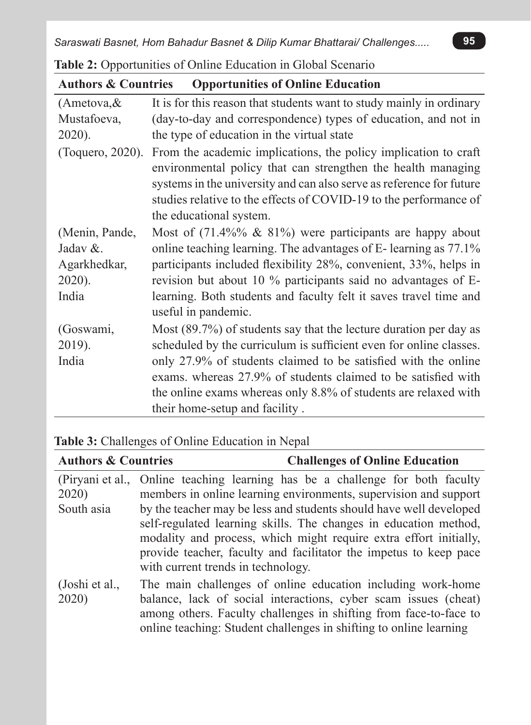| <b>Authors &amp; Countries</b> | <b>Opportunities of Online Education</b>                                                                                                                                                                                                                                                                |
|--------------------------------|---------------------------------------------------------------------------------------------------------------------------------------------------------------------------------------------------------------------------------------------------------------------------------------------------------|
| $(A$ metova, &                 | It is for this reason that students want to study mainly in ordinary                                                                                                                                                                                                                                    |
| Mustafoeva,                    | (day-to-day and correspondence) types of education, and not in                                                                                                                                                                                                                                          |
| 2020).                         | the type of education in the virtual state                                                                                                                                                                                                                                                              |
| (Toquero, 2020).               | From the academic implications, the policy implication to craft<br>environmental policy that can strengthen the health managing<br>systems in the university and can also serve as reference for future<br>studies relative to the effects of COVID-19 to the performance of<br>the educational system. |
| (Menin, Pande,                 | Most of $(71.4\%% \& 81\%)$ were participants are happy about                                                                                                                                                                                                                                           |
| Jadav &.                       | online teaching learning. The advantages of E-learning as 77.1%                                                                                                                                                                                                                                         |
| Agarkhedkar,                   | participants included flexibility 28%, convenient, 33%, helps in                                                                                                                                                                                                                                        |
| 2020).<br>India                | revision but about 10 % participants said no advantages of E-<br>learning. Both students and faculty felt it saves travel time and<br>useful in pandemic.                                                                                                                                               |
| (Goswami,                      | Most (89.7%) of students say that the lecture duration per day as                                                                                                                                                                                                                                       |
| 2019).                         | scheduled by the curriculum is sufficient even for online classes.                                                                                                                                                                                                                                      |
| India                          | only 27.9% of students claimed to be satisfied with the online                                                                                                                                                                                                                                          |
|                                | exams. whereas 27.9% of students claimed to be satisfied with                                                                                                                                                                                                                                           |
|                                | the online exams whereas only 8.8% of students are relaxed with                                                                                                                                                                                                                                         |
|                                | their home-setup and facility.                                                                                                                                                                                                                                                                          |

**Table 2:** Opportunities of Online Education in Global Scenario

### **Table 3:** Challenges of Online Education in Nepal

| <b>Authors &amp; Countries</b> | <b>Challenges of Online Education</b>                                         |
|--------------------------------|-------------------------------------------------------------------------------|
|                                | (Piryani et al., Online teaching learning has be a challenge for both faculty |
| 2020)                          | members in online learning environments, supervision and support              |
| South asia                     | by the teacher may be less and students should have well developed            |
|                                | self-regulated learning skills. The changes in education method,              |
|                                | modality and process, which might require extra effort initially,             |
|                                | provide teacher, faculty and facilitator the impetus to keep pace             |
|                                | with current trends in technology.                                            |
| (Joshi et al.,                 | The main challenges of online education including work-home                   |
| 2020)                          | balance, lack of social interactions, cyber scam issues (cheat)               |
|                                | among others. Faculty challenges in shifting from face-to-face to             |
|                                | online teaching: Student challenges in shifting to online learning            |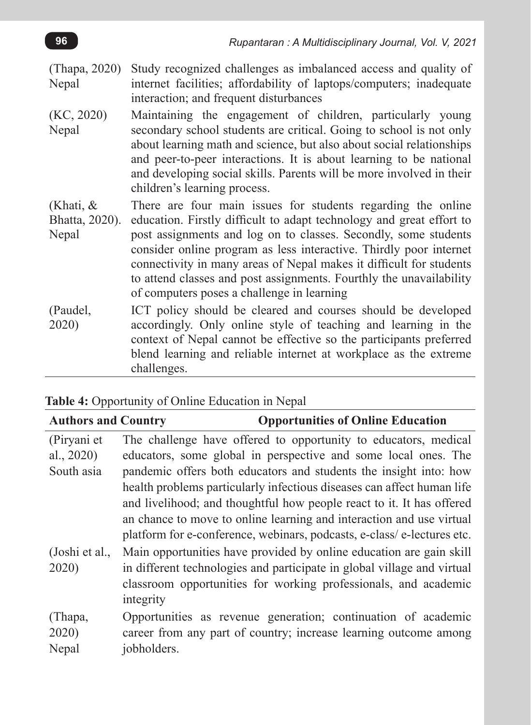- (Thapa, 2020) Nepal Study recognized challenges as imbalanced access and quality of internet facilities; affordability of laptops/computers; inadequate interaction; and frequent disturbances
- (KC, 2020) Nepal Maintaining the engagement of children, particularly young secondary school students are critical. Going to school is not only about learning math and science, but also about social relationships and peer-to-peer interactions. It is about learning to be national and developing social skills. Parents will be more involved in their children's learning process.
- (Khati, & Bhatta, 2020). **Nepal** There are four main issues for students regarding the online education. Firstly difficult to adapt technology and great effort to post assignments and log on to classes. Secondly, some students consider online program as less interactive. Thirdly poor internet connectivity in many areas of Nepal makes it difficult for students to attend classes and post assignments. Fourthly the unavailability of computers poses a challenge in learning
- (Paudel, 2020) ICT policy should be cleared and courses should be developed accordingly. Only online style of teaching and learning in the context of Nepal cannot be effective so the participants preferred blend learning and reliable internet at workplace as the extreme challenges.

| <b>Opportunities of Online Education</b>                                |
|-------------------------------------------------------------------------|
| The challenge have offered to opportunity to educators, medical         |
| educators, some global in perspective and some local ones. The          |
| pandemic offers both educators and students the insight into: how       |
| health problems particularly infectious diseases can affect human life  |
| and livelihood; and thoughtful how people react to it. It has offered   |
| an chance to move to online learning and interaction and use virtual    |
| platform for e-conference, webinars, podcasts, e-class/e-lectures etc.  |
| Main opportunities have provided by online education are gain skill     |
| in different technologies and participate in global village and virtual |
| classroom opportunities for working professionals, and academic         |
|                                                                         |
| Opportunities as revenue generation; continuation of academic           |
| career from any part of country; increase learning outcome among        |
|                                                                         |
|                                                                         |

**Table 4:** Opportunity of Online Education in Nepal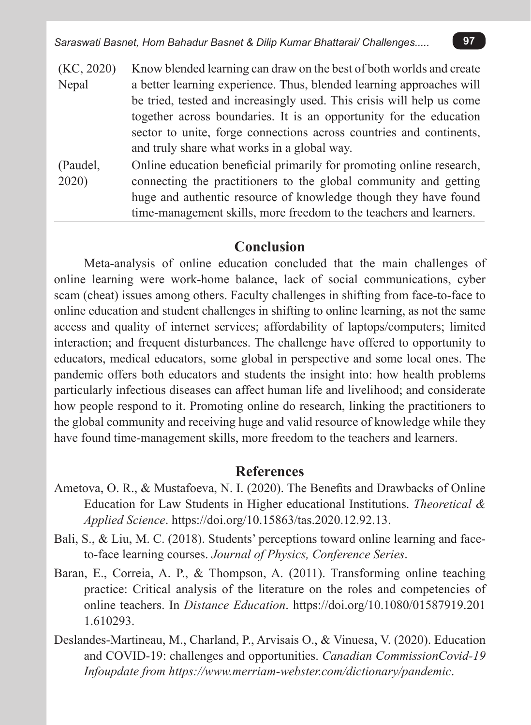*Saraswati Basnet, Hom Bahadur Basnet & Dilip Kumar Bhattarai/ Challenges.....* **97**

| (KC, 2020) | Know blended learning can draw on the best of both worlds and create  |
|------------|-----------------------------------------------------------------------|
| Nepal      | a better learning experience. Thus, blended learning approaches will  |
|            | be tried, tested and increasingly used. This crisis will help us come |
|            | together across boundaries. It is an opportunity for the education    |
|            | sector to unite, forge connections across countries and continents,   |
|            | and truly share what works in a global way.                           |
|            |                                                                       |

(Paudel, 2020) Online education beneficial primarily for promoting online research, connecting the practitioners to the global community and getting huge and authentic resource of knowledge though they have found time-management skills, more freedom to the teachers and learners.

#### **Conclusion**

Meta-analysis of online education concluded that the main challenges of online learning were work-home balance, lack of social communications, cyber scam (cheat) issues among others. Faculty challenges in shifting from face-to-face to online education and student challenges in shifting to online learning, as not the same access and quality of internet services; affordability of laptops/computers; limited interaction; and frequent disturbances. The challenge have offered to opportunity to educators, medical educators, some global in perspective and some local ones. The pandemic offers both educators and students the insight into: how health problems particularly infectious diseases can affect human life and livelihood; and considerate how people respond to it. Promoting online do research, linking the practitioners to the global community and receiving huge and valid resource of knowledge while they have found time-management skills, more freedom to the teachers and learners.

#### **References**

- Ametova, O. R., & Mustafoeva, N. I. (2020). The Benefits and Drawbacks of Online Education for Law Students in Higher educational Institutions. *Theoretical & Applied Science*. https://doi.org/10.15863/tas.2020.12.92.13.
- Bali, S., & Liu, M. C. (2018). Students' perceptions toward online learning and faceto-face learning courses. *Journal of Physics, Conference Series*.
- Baran, E., Correia, A. P., & Thompson, A. (2011). Transforming online teaching practice: Critical analysis of the literature on the roles and competencies of online teachers. In *Distance Education*. https://doi.org/10.1080/01587919.201 1.610293.
- Deslandes-Martineau, M., Charland, P., Arvisais O., & Vinuesa, V. (2020). Education and COVID-19: challenges and opportunities. *Canadian CommissionCovid-19 Infoupdate from https://www.merriam-webster.com/dictionary/pandemic*.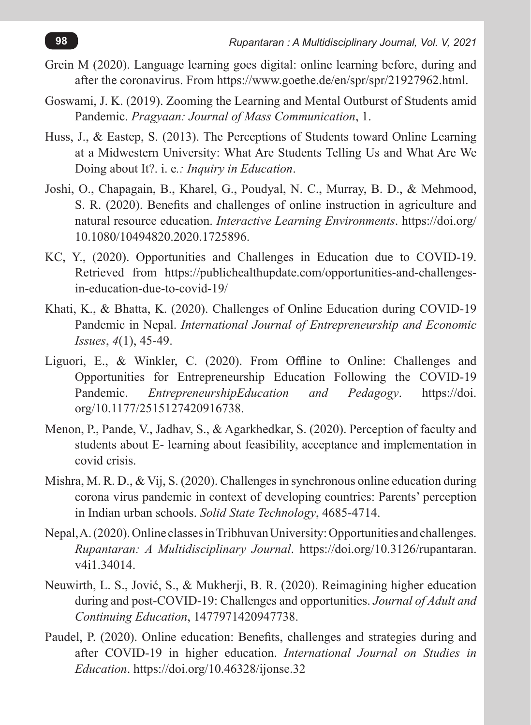- Grein M (2020). Language learning goes digital: online learning before, during and after the coronavirus. From https://www.goethe.de/en/spr/spr/21927962.html.
- Goswami, J. K. (2019). Zooming the Learning and Mental Outburst of Students amid Pandemic. *Pragyaan: Journal of Mass Communication*, 1.
- Huss, J., & Eastep, S. (2013). The Perceptions of Students toward Online Learning at a Midwestern University: What Are Students Telling Us and What Are We Doing about It?. i. e*.: Inquiry in Education*.
- Joshi, O., Chapagain, B., Kharel, G., Poudyal, N. C., Murray, B. D., & Mehmood, S. R. (2020). Benefits and challenges of online instruction in agriculture and natural resource education. *Interactive Learning Environments*. https://doi.org/ 10.1080/10494820.2020.1725896.
- KC, Y., (2020). Opportunities and Challenges in Education due to COVID-19. Retrieved from https://publichealthupdate.com/opportunities-and-challengesin-education-due-to-covid-19/
- Khati, K., & Bhatta, K. (2020). Challenges of Online Education during COVID-19 Pandemic in Nepal. *International Journal of Entrepreneurship and Economic Issues*, *4*(1), 45-49.
- Liguori, E., & Winkler, C. (2020). From Offline to Online: Challenges and Opportunities for Entrepreneurship Education Following the COVID-19 Pandemic. *EntrepreneurshipEducation and Pedagogy*. https://doi. org/10.1177/2515127420916738.
- Menon, P., Pande, V., Jadhav, S., & Agarkhedkar, S. (2020). Perception of faculty and students about E- learning about feasibility, acceptance and implementation in covid crisis.
- Mishra, M. R. D., & Vij, S. (2020). Challenges in synchronous online education during corona virus pandemic in context of developing countries: Parents' perception in Indian urban schools. *Solid State Technology*, 4685-4714.
- Nepal, A. (2020). Online classes in Tribhuvan University: Opportunities and challenges. *Rupantaran: A Multidisciplinary Journal*. https://doi.org/10.3126/rupantaran. v4i1.34014.
- Neuwirth, L. S., Jović, S., & Mukherji, B. R. (2020). Reimagining higher education during and post-COVID-19: Challenges and opportunities. *Journal of Adult and Continuing Education*, 1477971420947738.
- Paudel, P. (2020). Online education: Benefits, challenges and strategies during and after COVID-19 in higher education. *International Journal on Studies in Education*. https://doi.org/10.46328/ijonse.32